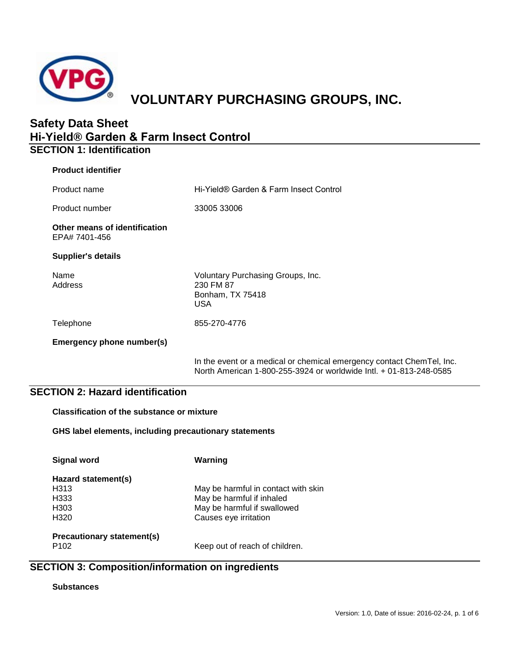

# **VOLUNTARY PURCHASING GROUPS, INC.**

# **Safety Data Sheet Hi-Yield® Garden & Farm Insect Control SECTION 1: Identification**

| <b>Product identifier</b>                      |                                                                                                                                             |
|------------------------------------------------|---------------------------------------------------------------------------------------------------------------------------------------------|
| Product name                                   | Hi-Yield® Garden & Farm Insect Control                                                                                                      |
| Product number                                 | 33005 33006                                                                                                                                 |
| Other means of identification<br>EPA# 7401-456 |                                                                                                                                             |
| <b>Supplier's details</b>                      |                                                                                                                                             |
| Name<br>Address                                | Voluntary Purchasing Groups, Inc.<br>230 FM 87<br>Bonham, TX 75418<br><b>USA</b>                                                            |
| Telephone                                      | 855-270-4776                                                                                                                                |
| Emergency phone number(s)                      |                                                                                                                                             |
|                                                | In the event or a medical or chemical emergency contact ChemTel, Inc.<br>North American 1-800-255-3924 or worldwide Intl. + 01-813-248-0585 |

# **SECTION 2: Hazard identification**

**Classification of the substance or mixture**

**GHS label elements, including precautionary statements**

**Signal word Warning Hazard statement(s)** H313 May be harmful in contact with skin H333 May be harmful if inhaled<br>H303 May be harmful if swallow H303 May be harmful if swallowed<br>H320 Causes eve irritation Causes eye irritation **Precautionary statement(s)** Keep out of reach of children.

# **SECTION 3: Composition/information on ingredients**

### **Substances**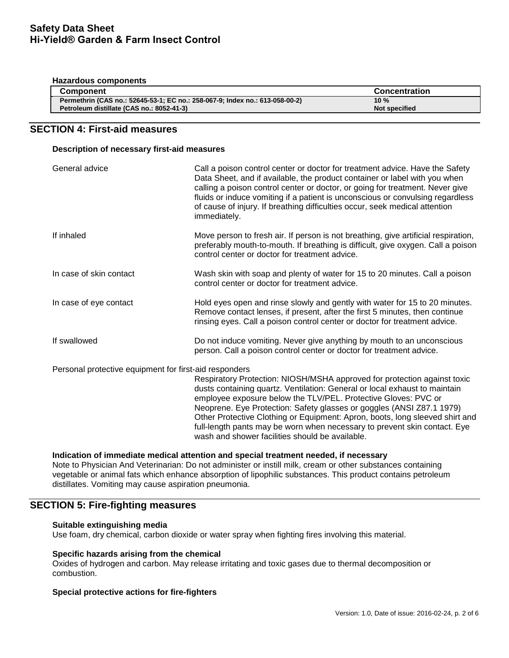#### **Hazardous components**

| <b>Component</b>                                                             | <b>Concentration</b> |
|------------------------------------------------------------------------------|----------------------|
| Permethrin (CAS no.: 52645-53-1; EC no.: 258-067-9; Index no.: 613-058-00-2) | 10 $%$               |
| Petroleum distillate (CAS no.: 8052-41-3)                                    | <b>Not specified</b> |

# **SECTION 4: First-aid measures**

### **Description of necessary first-aid measures**

| General advice                                         | Call a poison control center or doctor for treatment advice. Have the Safety<br>Data Sheet, and if available, the product container or label with you when<br>calling a poison control center or doctor, or going for treatment. Never give<br>fluids or induce vomiting if a patient is unconscious or convulsing regardless<br>of cause of injury. If breathing difficulties occur, seek medical attention<br>immediately.                                                                                      |
|--------------------------------------------------------|-------------------------------------------------------------------------------------------------------------------------------------------------------------------------------------------------------------------------------------------------------------------------------------------------------------------------------------------------------------------------------------------------------------------------------------------------------------------------------------------------------------------|
| If inhaled                                             | Move person to fresh air. If person is not breathing, give artificial respiration,<br>preferably mouth-to-mouth. If breathing is difficult, give oxygen. Call a poison<br>control center or doctor for treatment advice.                                                                                                                                                                                                                                                                                          |
| In case of skin contact                                | Wash skin with soap and plenty of water for 15 to 20 minutes. Call a poison<br>control center or doctor for treatment advice.                                                                                                                                                                                                                                                                                                                                                                                     |
| In case of eye contact                                 | Hold eyes open and rinse slowly and gently with water for 15 to 20 minutes.<br>Remove contact lenses, if present, after the first 5 minutes, then continue<br>rinsing eyes. Call a poison control center or doctor for treatment advice.                                                                                                                                                                                                                                                                          |
| If swallowed                                           | Do not induce vomiting. Never give anything by mouth to an unconscious<br>person. Call a poison control center or doctor for treatment advice.                                                                                                                                                                                                                                                                                                                                                                    |
| Personal protective equipment for first-aid responders | Respiratory Protection: NIOSH/MSHA approved for protection against toxic<br>dusts containing quartz. Ventilation: General or local exhaust to maintain<br>employee exposure below the TLV/PEL. Protective Gloves: PVC or<br>Neoprene. Eye Protection: Safety glasses or goggles (ANSI Z87.1 1979)<br>Other Protective Clothing or Equipment: Apron, boots, long sleeved shirt and<br>full-length pants may be worn when necessary to prevent skin contact. Eye<br>wash and shower facilities should be available. |

### **Indication of immediate medical attention and special treatment needed, if necessary**

Note to Physician And Veterinarian: Do not administer or instill milk, cream or other substances containing vegetable or animal fats which enhance absorption of lipophilic substances. This product contains petroleum distillates. Vomiting may cause aspiration pneumonia.

# **SECTION 5: Fire-fighting measures**

### **Suitable extinguishing media**

Use foam, dry chemical, carbon dioxide or water spray when fighting fires involving this material.

### **Specific hazards arising from the chemical**

Oxides of hydrogen and carbon. May release irritating and toxic gases due to thermal decomposition or combustion.

### **Special protective actions for fire-fighters**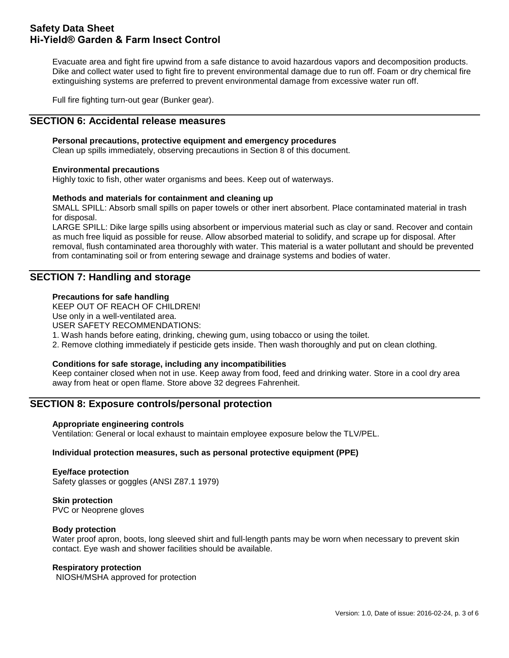Evacuate area and fight fire upwind from a safe distance to avoid hazardous vapors and decomposition products. Dike and collect water used to fight fire to prevent environmental damage due to run off. Foam or dry chemical fire extinguishing systems are preferred to prevent environmental damage from excessive water run off.

Full fire fighting turn-out gear (Bunker gear).

# **SECTION 6: Accidental release measures**

### **Personal precautions, protective equipment and emergency procedures**

Clean up spills immediately, observing precautions in Section 8 of this document.

### **Environmental precautions**

Highly toxic to fish, other water organisms and bees. Keep out of waterways.

### **Methods and materials for containment and cleaning up**

SMALL SPILL: Absorb small spills on paper towels or other inert absorbent. Place contaminated material in trash for disposal.

LARGE SPILL: Dike large spills using absorbent or impervious material such as clay or sand. Recover and contain as much free liquid as possible for reuse. Allow absorbed material to solidify, and scrape up for disposal. After removal, flush contaminated area thoroughly with water. This material is a water pollutant and should be prevented from contaminating soil or from entering sewage and drainage systems and bodies of water.

# **SECTION 7: Handling and storage**

### **Precautions for safe handling**

KEEP OUT OF REACH OF CHILDREN!

Use only in a well-ventilated area.

USER SAFETY RECOMMENDATIONS:

1. Wash hands before eating, drinking, chewing gum, using tobacco or using the toilet.

2. Remove clothing immediately if pesticide gets inside. Then wash thoroughly and put on clean clothing.

### **Conditions for safe storage, including any incompatibilities**

Keep container closed when not in use. Keep away from food, feed and drinking water. Store in a cool dry area away from heat or open flame. Store above 32 degrees Fahrenheit.

### **SECTION 8: Exposure controls/personal protection**

### **Appropriate engineering controls**

Ventilation: General or local exhaust to maintain employee exposure below the TLV/PEL.

### **Individual protection measures, such as personal protective equipment (PPE)**

# **Eye/face protection**

Safety glasses or goggles (ANSI Z87.1 1979)

**Skin protection** PVC or Neoprene gloves

### **Body protection**

Water proof apron, boots, long sleeved shirt and full-length pants may be worn when necessary to prevent skin contact. Eye wash and shower facilities should be available.

### **Respiratory protection**

NIOSH/MSHA approved for protection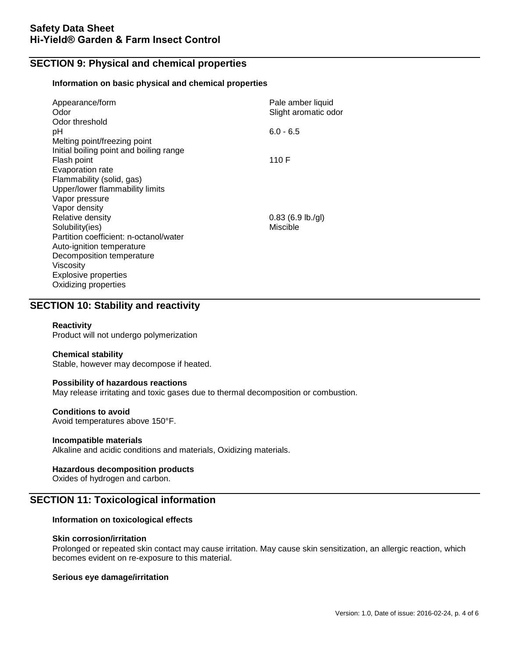# **SECTION 9: Physical and chemical properties**

### **Information on basic physical and chemical properties**

| Appearance/form<br>Odor<br>Odor threshold                                                      | Pale amber liquid<br>Slight aromatic odor |
|------------------------------------------------------------------------------------------------|-------------------------------------------|
| рH<br>Melting point/freezing point                                                             | $6.0 - 6.5$                               |
| Initial boiling point and boiling range<br>Flash point                                         | 110 F                                     |
| Evaporation rate<br>Flammability (solid, gas)                                                  |                                           |
| Upper/lower flammability limits<br>Vapor pressure                                              |                                           |
| Vapor density<br>Relative density<br>Solubility(ies)<br>Partition coefficient: n-octanol/water | $0.83$ (6.9 lb./gl)<br>Miscible           |
| Auto-ignition temperature<br>Decomposition temperature<br>Viscosity                            |                                           |
| <b>Explosive properties</b><br>Oxidizing properties                                            |                                           |

# **SECTION 10: Stability and reactivity**

### **Reactivity**

Product will not undergo polymerization

### **Chemical stability**

Stable, however may decompose if heated.

### **Possibility of hazardous reactions**

May release irritating and toxic gases due to thermal decomposition or combustion.

### **Conditions to avoid**

Avoid temperatures above 150°F.

### **Incompatible materials**

Alkaline and acidic conditions and materials, Oxidizing materials.

### **Hazardous decomposition products**

Oxides of hydrogen and carbon.

# **SECTION 11: Toxicological information**

### **Information on toxicological effects**

### **Skin corrosion/irritation**

Prolonged or repeated skin contact may cause irritation. May cause skin sensitization, an allergic reaction, which becomes evident on re-exposure to this material.

### **Serious eye damage/irritation**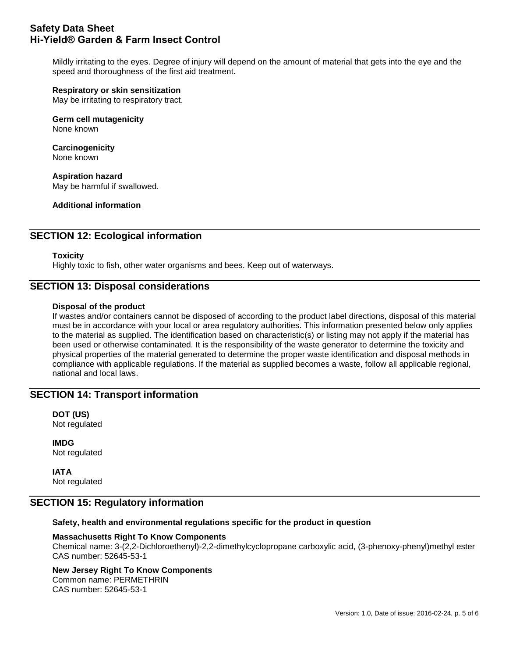Mildly irritating to the eyes. Degree of injury will depend on the amount of material that gets into the eye and the speed and thoroughness of the first aid treatment.

# **Respiratory or skin sensitization**

May be irritating to respiratory tract.

**Germ cell mutagenicity** None known

**Carcinogenicity** None known

**Aspiration hazard** May be harmful if swallowed.

**Additional information**

# **SECTION 12: Ecological information**

### **Toxicity**

Highly toxic to fish, other water organisms and bees. Keep out of waterways.

# **SECTION 13: Disposal considerations**

### **Disposal of the product**

If wastes and/or containers cannot be disposed of according to the product label directions, disposal of this material must be in accordance with your local or area regulatory authorities. This information presented below only applies to the material as supplied. The identification based on characteristic(s) or listing may not apply if the material has been used or otherwise contaminated. It is the responsibility of the waste generator to determine the toxicity and physical properties of the material generated to determine the proper waste identification and disposal methods in compliance with applicable regulations. If the material as supplied becomes a waste, follow all applicable regional, national and local laws.

## **SECTION 14: Transport information**

**DOT (US)** Not regulated

**IMDG** Not regulated

**IATA** Not regulated

### **SECTION 15: Regulatory information**

**Safety, health and environmental regulations specific for the product in question** 

### **Massachusetts Right To Know Components**

Chemical name: 3-(2,2-Dichloroethenyl)-2,2-dimethylcyclopropane carboxylic acid, (3-phenoxy-phenyl)methyl ester CAS number: 52645-53-1

#### **New Jersey Right To Know Components** Common name: PERMETHRIN

CAS number: 52645-53-1